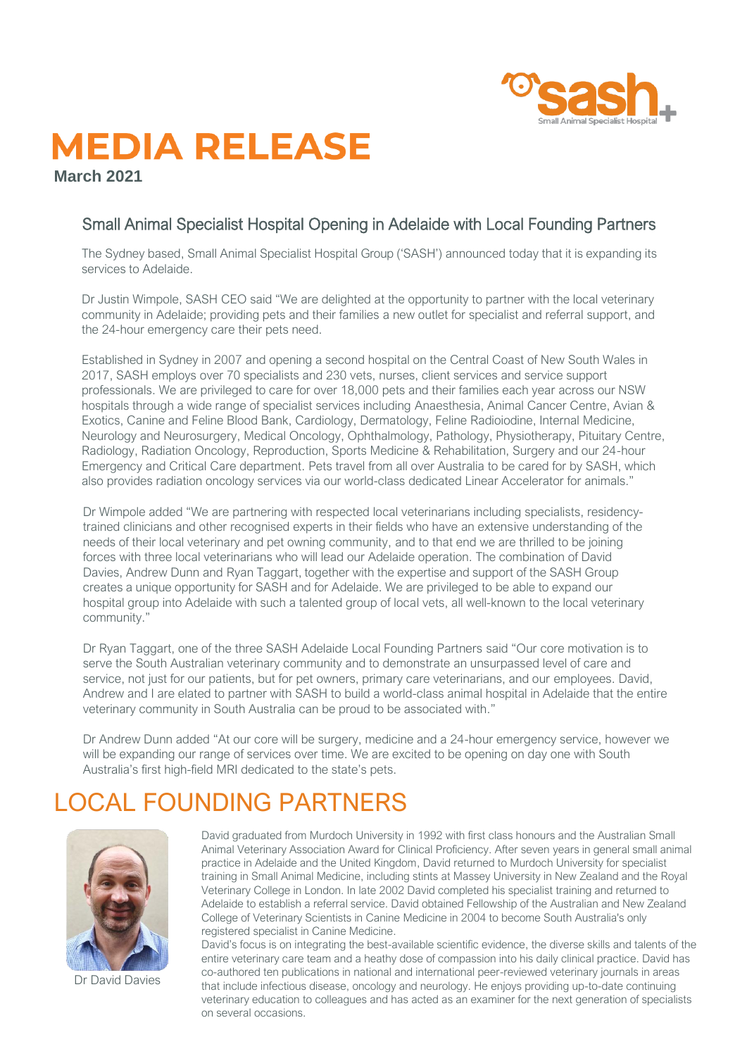

## **MEDIA RELEASE**

**March 2021**

#### Small Animal Specialist Hospital Opening in Adelaide with Local Founding Partners

The Sydney based, Small Animal Specialist Hospital Group ('SASH') announced today that it is expanding its services to Adelaide.

Dr Justin Wimpole, SASH CEO said "We are delighted at the opportunity to partner with the local veterinary community in Adelaide; providing pets and their families a new outlet for specialist and referral support, and the 24-hour emergency care their pets need.

Established in Sydney in 2007 and opening a second hospital on the Central Coast of New South Wales in 2017, SASH employs over 70 specialists and 230 vets, nurses, client services and service support professionals. We are privileged to care for over 18,000 pets and their families each year across our NSW hospitals through a wide range of specialist services including Anaesthesia, Animal Cancer Centre, Avian & Exotics, Canine and Feline Blood Bank, Cardiology, Dermatology, Feline Radioiodine, Internal Medicine, Neurology and Neurosurgery, Medical Oncology, Ophthalmology, Pathology, Physiotherapy, Pituitary Centre, Radiology, Radiation Oncology, Reproduction, Sports Medicine & Rehabilitation, Surgery and our 24-hour Emergency and Critical Care department. Pets travel from all over Australia to be cared for by SASH, which also provides radiation oncology services via our world-class dedicated Linear Accelerator for animals."

Dr Wimpole added "We are partnering with respected local veterinarians including specialists, residencytrained clinicians and other recognised experts in their fields who have an extensive understanding of the needs of their local veterinary and pet owning community, and to that end we are thrilled to be joining forces with three local veterinarians who will lead our Adelaide operation. The combination of David Davies, Andrew Dunn and Ryan Taggart, together with the expertise and support of the SASH Group creates a unique opportunity for SASH and for Adelaide. We are privileged to be able to expand our hospital group into Adelaide with such a talented group of local vets, all well-known to the local veterinary community."

Dr Ryan Taggart, one of the three SASH Adelaide Local Founding Partners said "Our core motivation is to serve the South Australian veterinary community and to demonstrate an unsurpassed level of care and service, not just for our patients, but for pet owners, primary care veterinarians, and our employees. David, Andrew and I are elated to partner with SASH to build a world-class animal hospital in Adelaide that the entire veterinary community in South Australia can be proud to be associated with."

Dr Andrew Dunn added "At our core will be surgery, medicine and a 24-hour emergency service, however we will be expanding our range of services over time. We are excited to be opening on day one with South Australia's first high-field MRI dedicated to the state's pets.

### LOCAL FOUNDING PARTNERS



Dr David Davies

David graduated from Murdoch University in 1992 with first class honours and the Australian Small Animal Veterinary Association Award for Clinical Proficiency. After seven years in general small animal practice in Adelaide and the United Kingdom, David returned to Murdoch University for specialist training in Small Animal Medicine, including stints at Massey University in New Zealand and the Royal Veterinary College in London. In late 2002 David completed his specialist training and returned to Adelaide to establish a referral service. David obtained Fellowship of the Australian and New Zealand College of Veterinary Scientists in Canine Medicine in 2004 to become South Australia's only registered specialist in Canine Medicine.

David's focus is on integrating the best-available scientific evidence, the diverse skills and talents of the entire veterinary care team and a heathy dose of compassion into his daily clinical practice. David has co-authored ten publications in national and international peer-reviewed veterinary journals in areas that include infectious disease, oncology and neurology. He enjoys providing up-to-date continuing veterinary education to colleagues and has acted as an examiner for the next generation of specialists on several occasions.